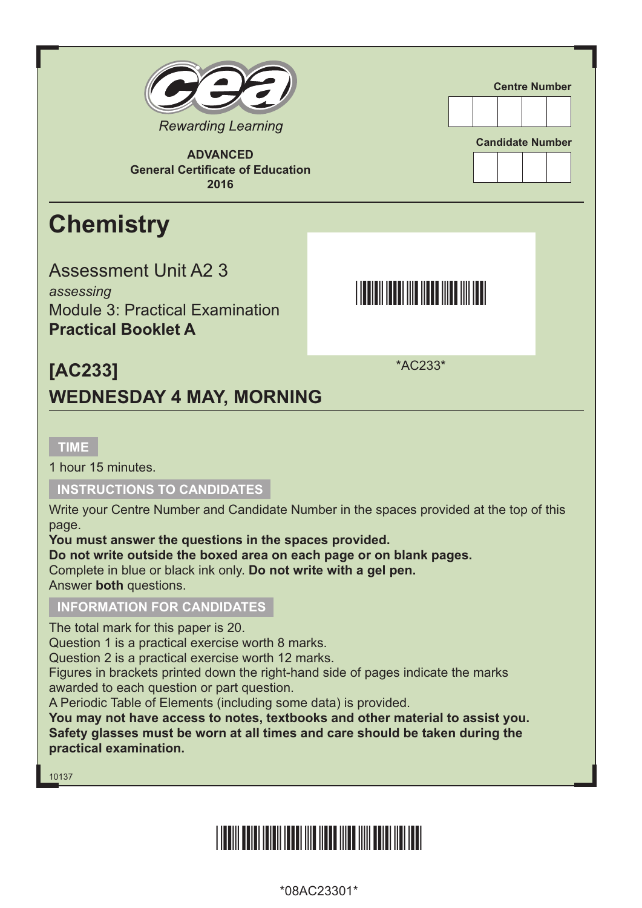

**ADVANCED General Certificate of Education 2016**

# **Chemistry**

Assessment Unit A2 3 *assessing* Module 3: Practical Examination **Practical Booklet A**

<u>\*AC233 \*AC233 \*AC233 \*AC233 \*AC233 \*AC233 \*AC233 \*AC233 \*AC233 \*AC233 \*AC233 \*AC233 \*AC233 \*AC233 \*AC233 \*AC23</u>

**Centre Number**

**Candidate Number**

\*AC233\*

## **[AC233] WEDNESDAY 4 MAY, MORNING**

### **TIME**

1 hour 15 minutes.

### **INSTRUCTIONS TO CANDIDATES**

Write your Centre Number and Candidate Number in the spaces provided at the top of this page.

**You must answer the questions in the spaces provided.**

**Do not write outside the boxed area on each page or on blank pages.** Complete in blue or black ink only. **Do not write with a gel pen.** Answer **both** questions.

### **INFORMATION FOR CANDIDATES**

The total mark for this paper is 20.

Question 1 is a practical exercise worth 8 marks.

Question 2 is a practical exercise worth 12 marks.

Figures in brackets printed down the right-hand side of pages indicate the marks awarded to each question or part question.

A Periodic Table of Elements (including some data) is provided.

**You may not have access to notes, textbooks and other material to assist you. Safety glasses must be worn at all times and care should be taken during the practical examination.**

10137

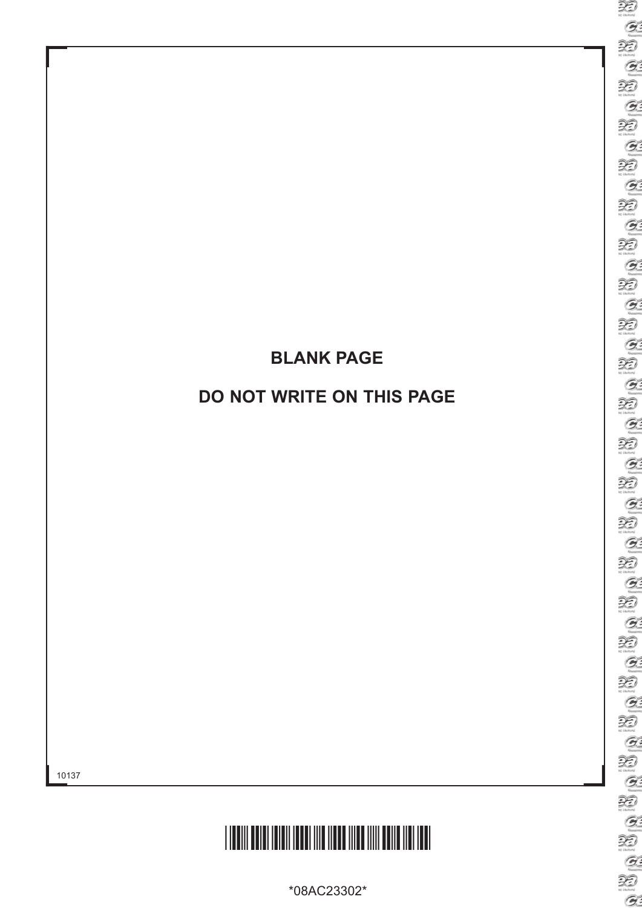# **BLANK PAGE**

## **DO NOT WRITE ON THIS PAGE**



\*08AC23302\*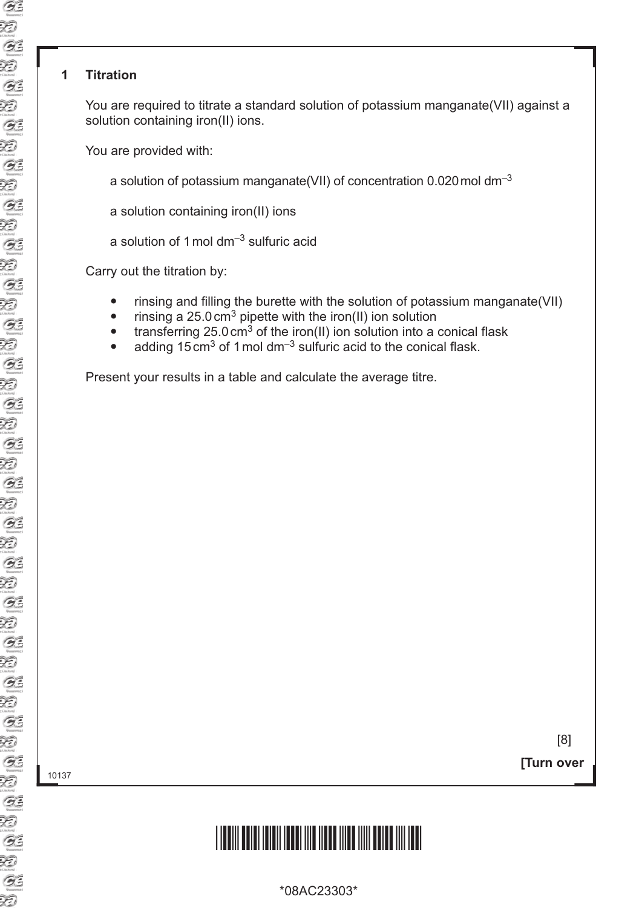#### **1 Titration**

You are required to titrate a standard solution of potassium manganate(VII) against a solution containing iron(II) ions.

You are provided with:

a solution of potassium manganate (VII) of concentration  $0.020$  mol dm<sup>-3</sup>

a solution containing iron(II) ions

a solution of 1 mol  $dm^{-3}$  sulfuric acid

Carry out the titration by:

- rinsing and filling the burette with the solution of potassium manganate(VII)
- rinsing a  $25.0 \text{ cm}^3$  pipette with the iron(II) ion solution
- **•** transferring 25.0 cm<sup>3</sup> of the iron(II) ion solution into a conical flask
- adding  $15 \text{ cm}^3$  of 1 mol dm<sup>-3</sup> sulfuric acid to the conical flask.

Present your results in a table and calculate the average titre.

<sup>10137</sup> **[Turn over**

[8]

# \*08AC23303\*

\*08AC23303\*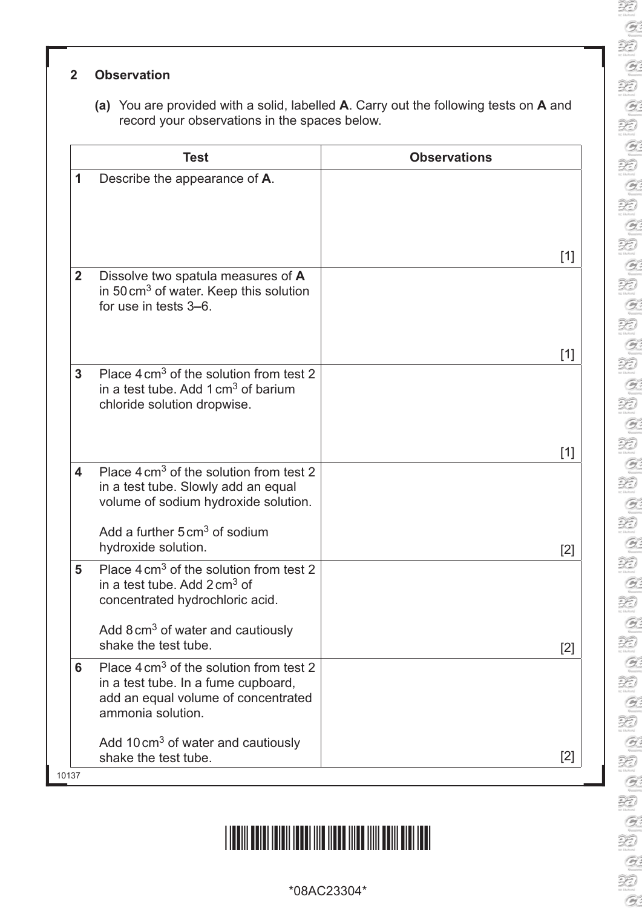### **2 Observation**

**(a)** You are provided with a solid, labelled **A**. Carry out the following tests on **A** and record your observations in the spaces below.

|              | <b>Test</b>                                                                                                                                           | <b>Observations</b> |
|--------------|-------------------------------------------------------------------------------------------------------------------------------------------------------|---------------------|
| 1            | Describe the appearance of A.                                                                                                                         |                     |
|              |                                                                                                                                                       | $[1]$               |
| $\mathbf{2}$ | Dissolve two spatula measures of A<br>in 50 $\text{cm}^3$ of water. Keep this solution<br>for use in tests 3–6.                                       |                     |
|              |                                                                                                                                                       | [1]                 |
| $\mathbf{3}$ | Place 4 cm <sup>3</sup> of the solution from test 2<br>in a test tube. Add $1 \text{ cm}^3$ of barium<br>chloride solution dropwise.                  |                     |
|              |                                                                                                                                                       | [1]                 |
| 4            | Place 4 cm <sup>3</sup> of the solution from test 2<br>in a test tube. Slowly add an equal<br>volume of sodium hydroxide solution.                    |                     |
|              | Add a further 5 cm <sup>3</sup> of sodium<br>hydroxide solution.                                                                                      | $\lceil 2 \rceil$   |
| 5            | Place 4 cm <sup>3</sup> of the solution from test 2<br>in a test tube. Add 2 cm <sup>3</sup> of<br>concentrated hydrochloric acid.                    |                     |
|              | Add 8 cm <sup>3</sup> of water and cautiously<br>shake the test tube.                                                                                 | $[2]$               |
| 6            | Place $4 \text{ cm}^3$ of the solution from test 2<br>in a test tube. In a fume cupboard,<br>add an equal volume of concentrated<br>ammonia solution. |                     |
|              | Add $10 \text{ cm}^3$ of water and cautiously<br>shake the test tube.                                                                                 | [2]                 |

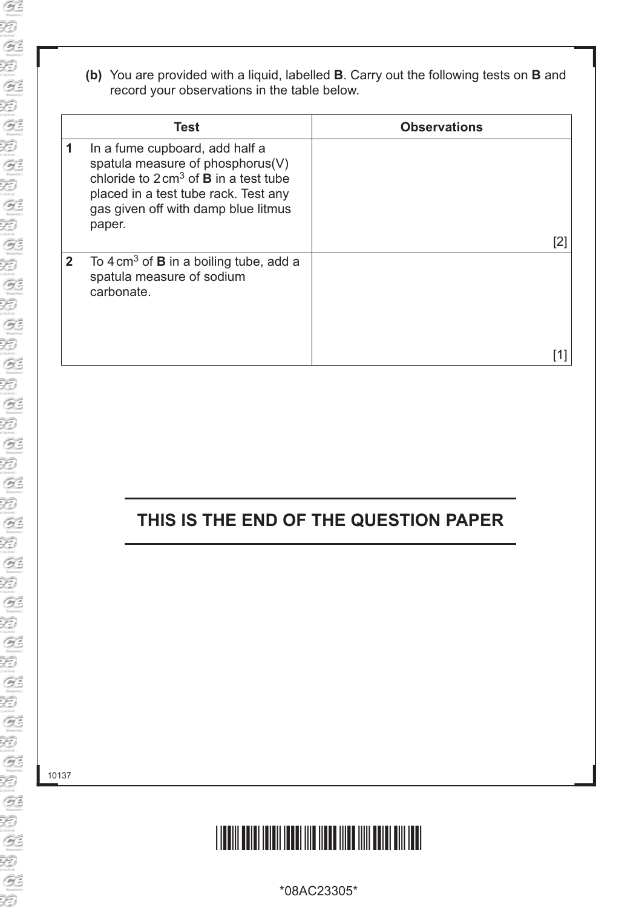**(b)** You are provided with a liquid, labelled **B**. Carry out the following tests on **B** and record your observations in the table below.

|                | <b>Test</b>                                                                                                                                                                                                            | <b>Observations</b> |
|----------------|------------------------------------------------------------------------------------------------------------------------------------------------------------------------------------------------------------------------|---------------------|
| 1              | In a fume cupboard, add half a<br>spatula measure of phosphorus(V)<br>chloride to $2 \text{ cm}^3$ of <b>B</b> in a test tube<br>placed in a test tube rack. Test any<br>gas given off with damp blue litmus<br>paper. |                     |
|                |                                                                                                                                                                                                                        | [2]                 |
| $\overline{2}$ | To $4 \text{ cm}^3$ of <b>B</b> in a boiling tube, add a<br>spatula measure of sodium<br>carbonate.                                                                                                                    |                     |
|                |                                                                                                                                                                                                                        | [1]                 |

### **THIS IS THE END OF THE QUESTION PAPER**

10137

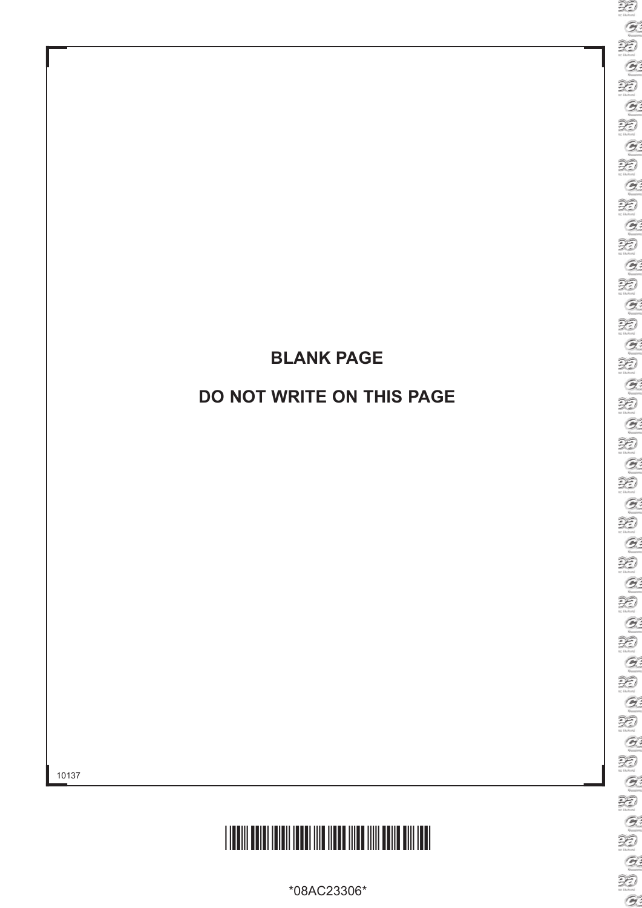# **BLANK PAGE**

### **DO NOT WRITE ON THIS PAGE**



\*08AC23306\*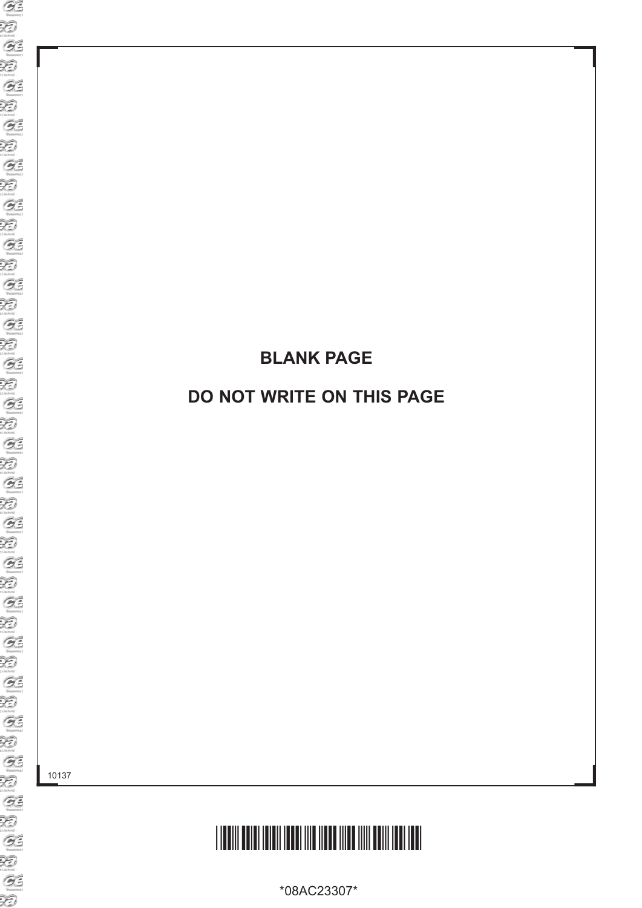## **BLANK PAGE**

## **DO NOT WRITE ON THIS PAGE**

10137



\*08AC23307\*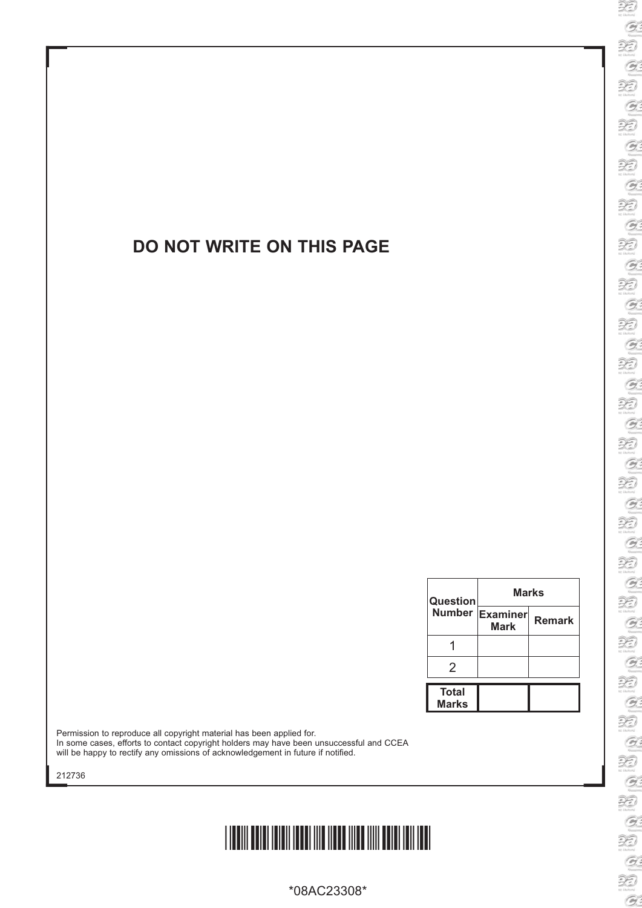### **DO NOT WRITE ON THIS PAGE**

| Question                     | Marks                   |               |  |
|------------------------------|-------------------------|---------------|--|
|                              | Number Examiner<br>Mark | <b>Remark</b> |  |
|                              |                         |               |  |
| $\mathcal{P}$                |                         |               |  |
| <b>Total</b><br><b>Marks</b> |                         |               |  |

Permission to reproduce all copyright material has been applied for. In some cases, efforts to contact copyright holders may have been unsuccessful and CCEA will be happy to rectify any omissions of acknowledgement in future if notified.

212736

# \*08AC23308\*

\*08AC23308\*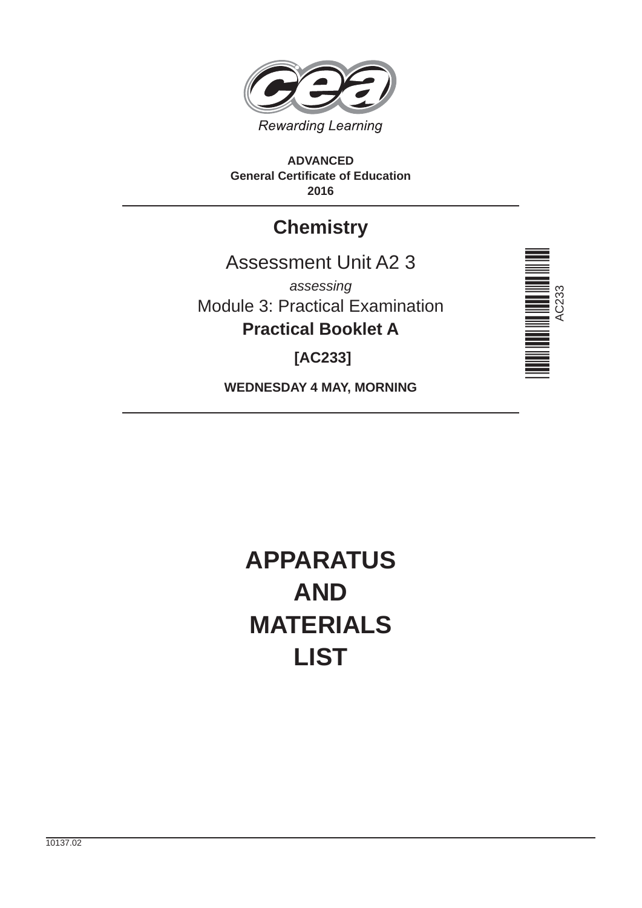

**ADVANCED General Certificate of Education 2016**

## **Chemistry**

## Assessment Unit A2 3

*assessing* Module 3: Practical Examination **Practical Booklet A**

\*AC233\* **ACCEPTE AND REAL** 

 **[AC233]**

**WEDNESDAY 4 MAY, MORNING**

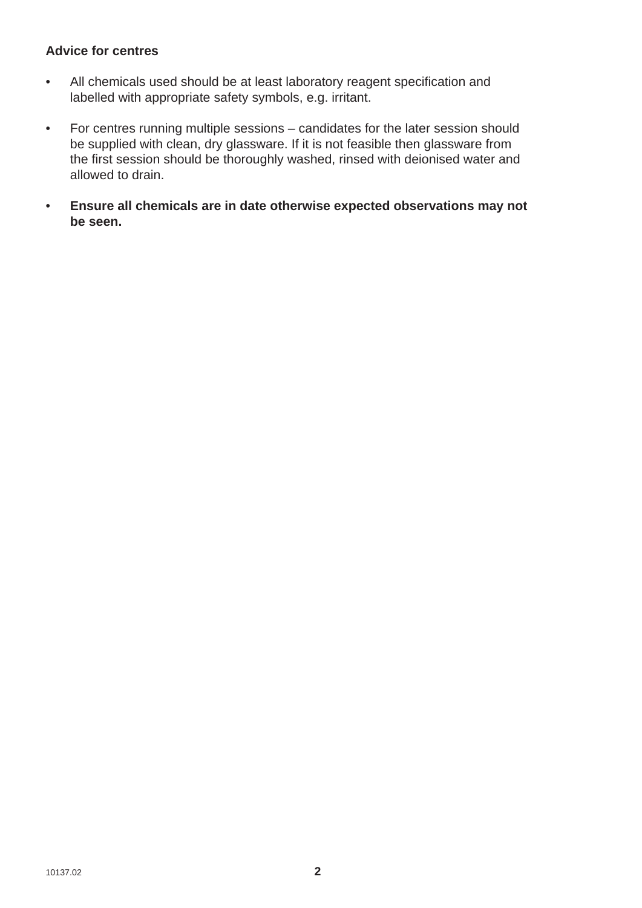#### **Advice for centres**

- All chemicals used should be at least laboratory reagent specification and labelled with appropriate safety symbols, e.g. irritant.
- For centres running multiple sessions candidates for the later session should be supplied with clean, dry glassware. If it is not feasible then glassware from the first session should be thoroughly washed, rinsed with deionised water and allowed to drain.
- **Ensure all chemicals are in date otherwise expected observations may not be seen.**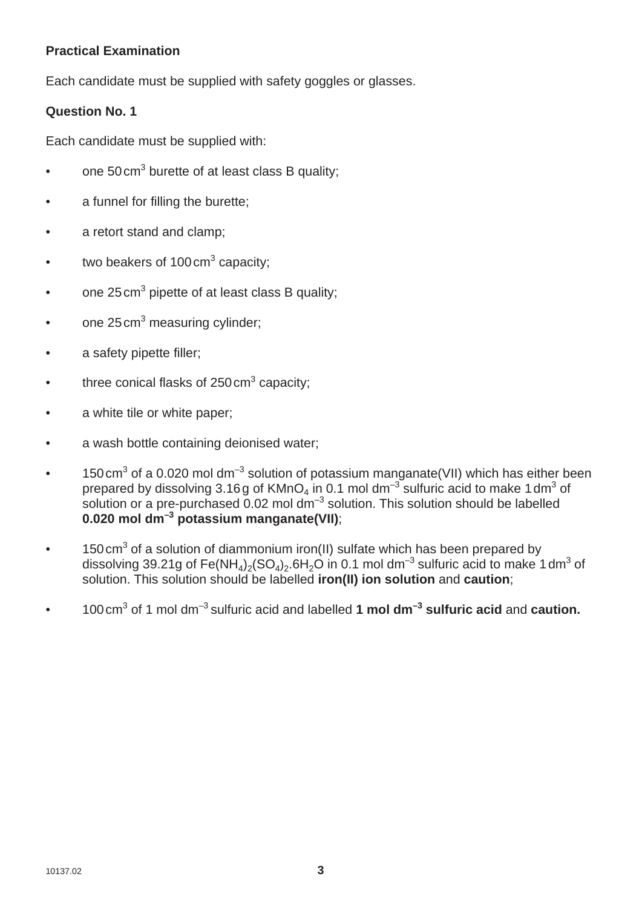### **Practical Examination**

Each candidate must be supplied with safety goggles or glasses.

### **Question No. 1**

Each candidate must be supplied with:

- one 50 cm<sup>3</sup> burette of at least class B quality;
- a funnel for filling the burette;
- a retort stand and clamp;
- two beakers of 100 cm<sup>3</sup> capacity;
- one 25 cm<sup>3</sup> pipette of at least class B quality;
- $\bullet$  one 25 cm<sup>3</sup> measuring cylinder;
- a safety pipette filler;
- three conical flasks of 250 cm<sup>3</sup> capacity;
- a white tile or white paper;
- a wash bottle containing deionised water;
- 150 cm<sup>3</sup> of a 0.020 mol dm<sup>-3</sup> solution of potassium manganate(VII) which has either been prepared by dissolving 3.16g of KMnO<sub>4</sub> in 0.1 mol dm<sup>-3</sup> sulfuric acid to make 1 dm<sup>3</sup> of solution or a pre-purchased 0.02 mol  $dm^{-3}$  solution. This solution should be labelled **0.020 mol dm–3 potassium manganate(VII)**;
- 150 cm<sup>3</sup> of a solution of diammonium iron(II) sulfate which has been prepared by dissolving 39.21g of Fe(NH<sub>4</sub>)<sub>2</sub>(SO<sub>4</sub>)<sub>2</sub>.6H<sub>2</sub>O in 0.1 mol dm<sup>-3</sup> sulfuric acid to make 1 dm<sup>3</sup> of solution. This solution should be labelled **iron(II) ion solution** and **caution**;
- 100 cm<sup>3</sup> of 1 mol dm<sup>-3</sup> sulfuric acid and labelled 1 mol dm<sup>-3</sup> sulfuric acid and caution.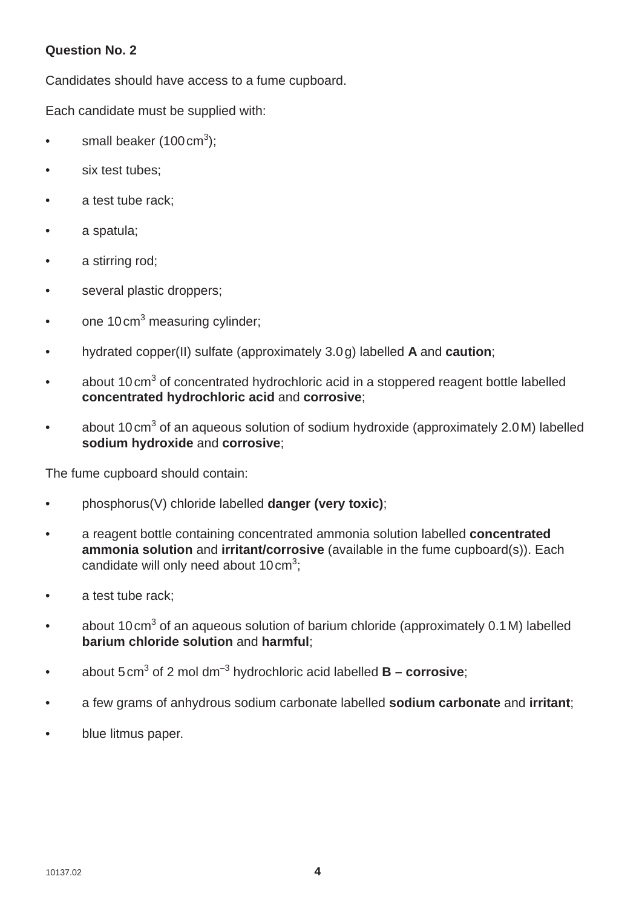### **Question No. 2**

Candidates should have access to a fume cupboard.

Each candidate must be supplied with:

- small beaker (100 cm<sup>3</sup>);
- six test tubes;
- a test tube rack:
- a spatula;
- a stirring rod;
- several plastic droppers;
- one 10 cm<sup>3</sup> measuring cylinder;
- hydrated copper(II) sulfate (approximately 3.0 g) labelled **A** and **caution**;
- about 10 cm<sup>3</sup> of concentrated hydrochloric acid in a stoppered reagent bottle labelled **concentrated hydrochloric acid** and **corrosive**;
- about 10 cm<sup>3</sup> of an aqueous solution of sodium hydroxide (approximately 2.0 M) labelled **sodium hydroxide** and **corrosive**;

The fume cupboard should contain:

- phosphorus(V) chloride labelled **danger (very toxic)**;
- a reagent bottle containing concentrated ammonia solution labelled **concentrated ammonia solution** and **irritant/corrosive** (available in the fume cupboard(s)). Each candidate will only need about  $10 \text{ cm}^3$ ;
- a test tube rack;
- about 10 cm<sup>3</sup> of an aqueous solution of barium chloride (approximately 0.1 M) labelled **barium chloride solution** and **harmful**;
- about 5 cm<sup>3</sup> of 2 mol dm<sup>-3</sup> hydrochloric acid labelled **B corrosive**;
- a few grams of anhydrous sodium carbonate labelled **sodium carbonate** and **irritant**;
- blue litmus paper.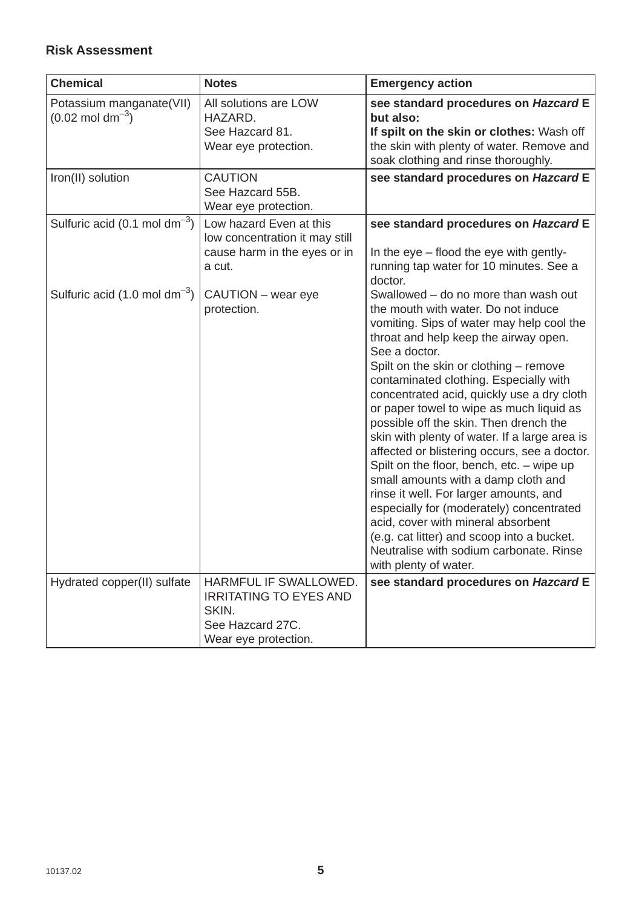### **Risk Assessment**

| <b>Chemical</b>                                          | <b>Notes</b>                                                                                                | <b>Emergency action</b>                                                                                                                                                                                                                                                                                                                                                                                                                                                                                                                                                                                                                                                                                                                                                                                                                         |
|----------------------------------------------------------|-------------------------------------------------------------------------------------------------------------|-------------------------------------------------------------------------------------------------------------------------------------------------------------------------------------------------------------------------------------------------------------------------------------------------------------------------------------------------------------------------------------------------------------------------------------------------------------------------------------------------------------------------------------------------------------------------------------------------------------------------------------------------------------------------------------------------------------------------------------------------------------------------------------------------------------------------------------------------|
| Potassium manganate(VII)<br>$(0.02 \text{ mol dm}^{-3})$ | All solutions are LOW<br>HAZARD.<br>See Hazcard 81.<br>Wear eye protection.                                 | see standard procedures on Hazcard E<br>but also:<br>If spilt on the skin or clothes: Wash off<br>the skin with plenty of water. Remove and<br>soak clothing and rinse thoroughly.                                                                                                                                                                                                                                                                                                                                                                                                                                                                                                                                                                                                                                                              |
| Iron(II) solution                                        | <b>CAUTION</b><br>See Hazcard 55B.<br>Wear eye protection.                                                  | see standard procedures on Hazcard E                                                                                                                                                                                                                                                                                                                                                                                                                                                                                                                                                                                                                                                                                                                                                                                                            |
| Sulfuric acid (0.1 mol dm <sup>-3</sup> )                | Low hazard Even at this<br>low concentration it may still<br>cause harm in the eyes or in<br>a cut.         | see standard procedures on Hazcard E<br>In the eye – flood the eye with gently-<br>running tap water for 10 minutes. See a<br>doctor.                                                                                                                                                                                                                                                                                                                                                                                                                                                                                                                                                                                                                                                                                                           |
| Sulfuric acid $(1.0 \text{ mol dm}^{-3})$                | CAUTION - wear eye<br>protection.                                                                           | Swallowed - do no more than wash out<br>the mouth with water. Do not induce<br>vomiting. Sips of water may help cool the<br>throat and help keep the airway open.<br>See a doctor.<br>Spilt on the skin or clothing - remove<br>contaminated clothing. Especially with<br>concentrated acid, quickly use a dry cloth<br>or paper towel to wipe as much liquid as<br>possible off the skin. Then drench the<br>skin with plenty of water. If a large area is<br>affected or blistering occurs, see a doctor.<br>Spilt on the floor, bench, etc. $-$ wipe up<br>small amounts with a damp cloth and<br>rinse it well. For larger amounts, and<br>especially for (moderately) concentrated<br>acid, cover with mineral absorbent<br>(e.g. cat litter) and scoop into a bucket.<br>Neutralise with sodium carbonate. Rinse<br>with plenty of water. |
| Hydrated copper(II) sulfate                              | HARMFUL IF SWALLOWED.<br><b>IRRITATING TO EYES AND</b><br>SKIN.<br>See Hazcard 27C.<br>Wear eye protection. | see standard procedures on Hazcard E                                                                                                                                                                                                                                                                                                                                                                                                                                                                                                                                                                                                                                                                                                                                                                                                            |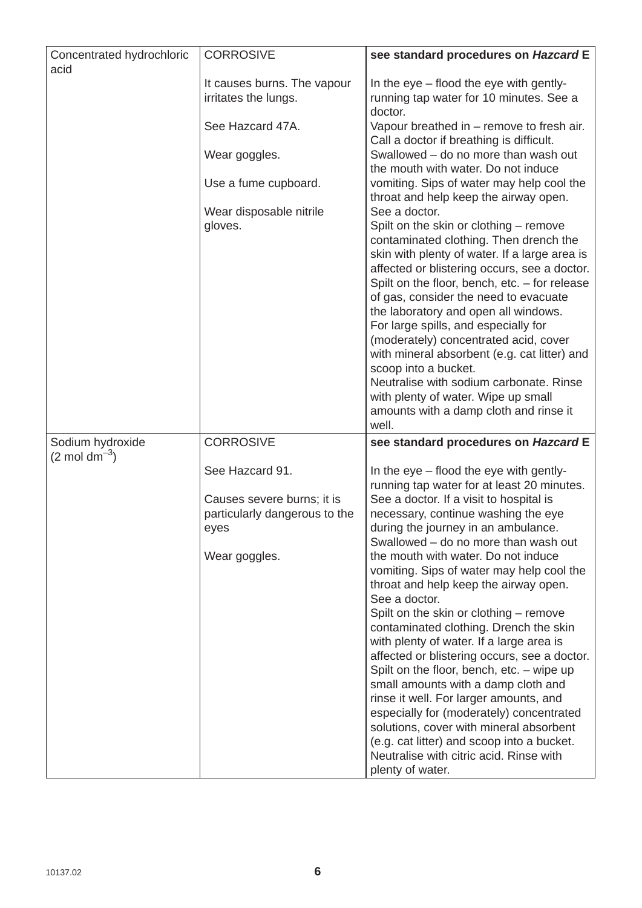| Concentrated hydrochloric                     | <b>CORROSIVE</b>                                    | see standard procedures on Hazcard E                                                                                                                                                                                                                                                                                                                                                                                                                                                                                                     |
|-----------------------------------------------|-----------------------------------------------------|------------------------------------------------------------------------------------------------------------------------------------------------------------------------------------------------------------------------------------------------------------------------------------------------------------------------------------------------------------------------------------------------------------------------------------------------------------------------------------------------------------------------------------------|
| acid                                          |                                                     |                                                                                                                                                                                                                                                                                                                                                                                                                                                                                                                                          |
|                                               | It causes burns. The vapour<br>irritates the lungs. | In the eye - flood the eye with gently-<br>running tap water for 10 minutes. See a<br>doctor.                                                                                                                                                                                                                                                                                                                                                                                                                                            |
|                                               | See Hazcard 47A.                                    | Vapour breathed in – remove to fresh air.<br>Call a doctor if breathing is difficult.                                                                                                                                                                                                                                                                                                                                                                                                                                                    |
|                                               | Wear goggles.                                       | Swallowed - do no more than wash out<br>the mouth with water. Do not induce                                                                                                                                                                                                                                                                                                                                                                                                                                                              |
|                                               | Use a fume cupboard.                                | vomiting. Sips of water may help cool the<br>throat and help keep the airway open.                                                                                                                                                                                                                                                                                                                                                                                                                                                       |
|                                               | Wear disposable nitrile<br>gloves.                  | See a doctor.<br>Spilt on the skin or clothing - remove<br>contaminated clothing. Then drench the<br>skin with plenty of water. If a large area is<br>affected or blistering occurs, see a doctor.<br>Spilt on the floor, bench, etc. - for release<br>of gas, consider the need to evacuate<br>the laboratory and open all windows.<br>For large spills, and especially for<br>(moderately) concentrated acid, cover<br>with mineral absorbent (e.g. cat litter) and<br>scoop into a bucket.<br>Neutralise with sodium carbonate. Rinse |
|                                               |                                                     | with plenty of water. Wipe up small<br>amounts with a damp cloth and rinse it<br>well.                                                                                                                                                                                                                                                                                                                                                                                                                                                   |
| Sodium hydroxide<br>$(2 \text{ mol dm}^{-3})$ | <b>CORROSIVE</b>                                    | see standard procedures on Hazcard E                                                                                                                                                                                                                                                                                                                                                                                                                                                                                                     |
|                                               | See Hazcard 91.                                     | In the eye - flood the eye with gently-<br>running tap water for at least 20 minutes.                                                                                                                                                                                                                                                                                                                                                                                                                                                    |
|                                               | Causes severe burns; it is                          | See a doctor. If a visit to hospital is                                                                                                                                                                                                                                                                                                                                                                                                                                                                                                  |
|                                               | particularly dangerous to the                       | necessary, continue washing the eye                                                                                                                                                                                                                                                                                                                                                                                                                                                                                                      |
|                                               | eyes                                                | during the journey in an ambulance.<br>Swallowed – do no more than wash out                                                                                                                                                                                                                                                                                                                                                                                                                                                              |
|                                               | Wear goggles.                                       | the mouth with water. Do not induce<br>vomiting. Sips of water may help cool the<br>throat and help keep the airway open.<br>See a doctor.<br>Spilt on the skin or clothing - remove<br>contaminated clothing. Drench the skin                                                                                                                                                                                                                                                                                                           |
|                                               |                                                     | with plenty of water. If a large area is<br>affected or blistering occurs, see a doctor.<br>Spilt on the floor, bench, etc. $-$ wipe up<br>small amounts with a damp cloth and<br>rinse it well. For larger amounts, and<br>especially for (moderately) concentrated                                                                                                                                                                                                                                                                     |
|                                               |                                                     | solutions, cover with mineral absorbent<br>(e.g. cat litter) and scoop into a bucket.<br>Neutralise with citric acid. Rinse with<br>plenty of water.                                                                                                                                                                                                                                                                                                                                                                                     |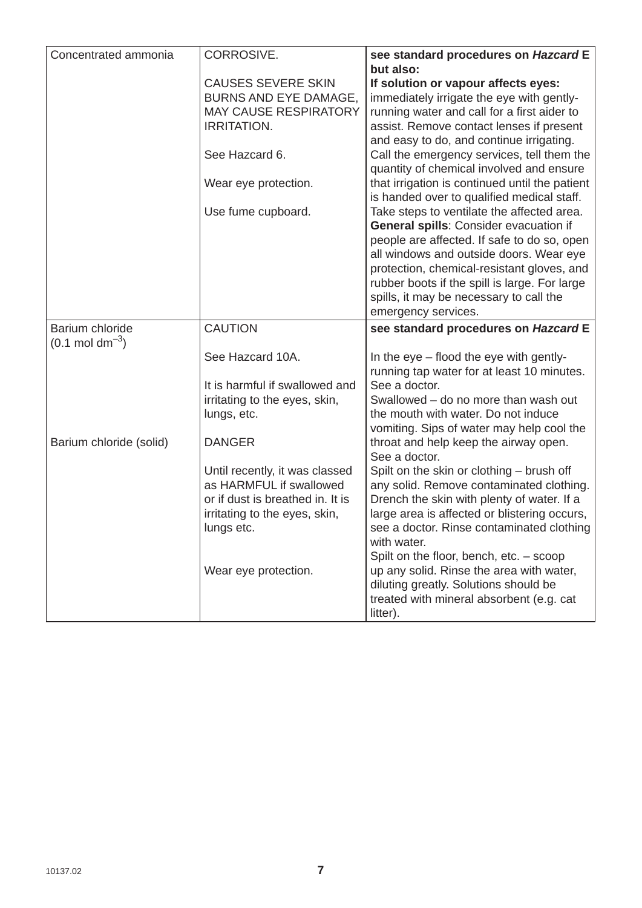| Concentrated ammonia        | CORROSIVE.                       | see standard procedures on Hazcard E                   |
|-----------------------------|----------------------------------|--------------------------------------------------------|
|                             |                                  | but also:                                              |
|                             | <b>CAUSES SEVERE SKIN</b>        | If solution or vapour affects eyes:                    |
|                             | <b>BURNS AND EYE DAMAGE,</b>     | immediately irrigate the eye with gently-              |
|                             | <b>MAY CAUSE RESPIRATORY</b>     | running water and call for a first aider to            |
|                             | <b>IRRITATION.</b>               | assist. Remove contact lenses if present               |
|                             |                                  | and easy to do, and continue irrigating.               |
|                             | See Hazcard 6.                   | Call the emergency services, tell them the             |
|                             |                                  | quantity of chemical involved and ensure               |
|                             | Wear eye protection.             | that irrigation is continued until the patient         |
|                             |                                  | is handed over to qualified medical staff.             |
|                             | Use fume cupboard.               | Take steps to ventilate the affected area.             |
|                             |                                  | General spills: Consider evacuation if                 |
|                             |                                  | people are affected. If safe to do so, open            |
|                             |                                  | all windows and outside doors. Wear eye                |
|                             |                                  | protection, chemical-resistant gloves, and             |
|                             |                                  | rubber boots if the spill is large. For large          |
|                             |                                  | spills, it may be necessary to call the                |
|                             |                                  | emergency services.                                    |
| Barium chloride             | <b>CAUTION</b>                   | see standard procedures on Hazcard E                   |
| $(0.1 \text{ mol dm}^{-3})$ |                                  |                                                        |
|                             | See Hazcard 10A.                 | In the eye - flood the eye with gently-                |
|                             |                                  | running tap water for at least 10 minutes.             |
|                             | It is harmful if swallowed and   | See a doctor.                                          |
|                             | irritating to the eyes, skin,    | Swallowed – do no more than wash out                   |
|                             | lungs, etc.                      | the mouth with water. Do not induce                    |
|                             |                                  | vomiting. Sips of water may help cool the              |
| Barium chloride (solid)     | <b>DANGER</b>                    | throat and help keep the airway open.<br>See a doctor. |
|                             | Until recently, it was classed   | Spilt on the skin or clothing - brush off              |
|                             | as HARMFUL if swallowed          | any solid. Remove contaminated clothing.               |
|                             | or if dust is breathed in. It is | Drench the skin with plenty of water. If a             |
|                             | irritating to the eyes, skin,    | large area is affected or blistering occurs,           |
|                             | lungs etc.                       | see a doctor. Rinse contaminated clothing              |
|                             |                                  | with water.                                            |
|                             |                                  | Spilt on the floor, bench, etc. - scoop                |
|                             | Wear eye protection.             | up any solid. Rinse the area with water,               |
|                             |                                  | diluting greatly. Solutions should be                  |
|                             |                                  | treated with mineral absorbent (e.g. cat               |
|                             |                                  | litter).                                               |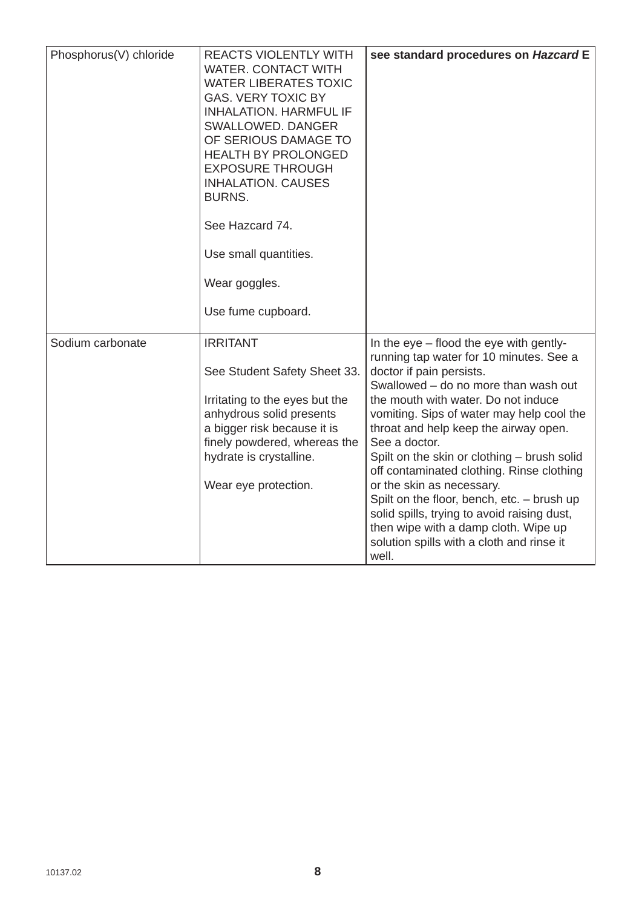| Phosphorus(V) chloride | <b>REACTS VIOLENTLY WITH</b><br><b>WATER. CONTACT WITH</b><br><b>WATER LIBERATES TOXIC</b><br><b>GAS. VERY TOXIC BY</b><br><b>INHALATION. HARMFUL IF</b><br>SWALLOWED. DANGER<br>OF SERIOUS DAMAGE TO<br><b>HEALTH BY PROLONGED</b><br><b>EXPOSURE THROUGH</b><br><b>INHALATION. CAUSES</b><br><b>BURNS.</b><br>See Hazcard 74.<br>Use small quantities.<br>Wear goggles.<br>Use fume cupboard. | see standard procedures on Hazcard E                                                                                                                                                                                                                                                                                                                                                                                                                                                                                                                                                                                     |
|------------------------|-------------------------------------------------------------------------------------------------------------------------------------------------------------------------------------------------------------------------------------------------------------------------------------------------------------------------------------------------------------------------------------------------|--------------------------------------------------------------------------------------------------------------------------------------------------------------------------------------------------------------------------------------------------------------------------------------------------------------------------------------------------------------------------------------------------------------------------------------------------------------------------------------------------------------------------------------------------------------------------------------------------------------------------|
| Sodium carbonate       | <b>IRRITANT</b><br>See Student Safety Sheet 33.<br>Irritating to the eyes but the<br>anhydrous solid presents<br>a bigger risk because it is<br>finely powdered, whereas the<br>hydrate is crystalline.<br>Wear eye protection.                                                                                                                                                                 | In the eye – flood the eye with gently-<br>running tap water for 10 minutes. See a<br>doctor if pain persists.<br>Swallowed - do no more than wash out<br>the mouth with water. Do not induce<br>vomiting. Sips of water may help cool the<br>throat and help keep the airway open.<br>See a doctor.<br>Spilt on the skin or clothing – brush solid<br>off contaminated clothing. Rinse clothing<br>or the skin as necessary.<br>Spilt on the floor, bench, etc. - brush up<br>solid spills, trying to avoid raising dust,<br>then wipe with a damp cloth. Wipe up<br>solution spills with a cloth and rinse it<br>well. |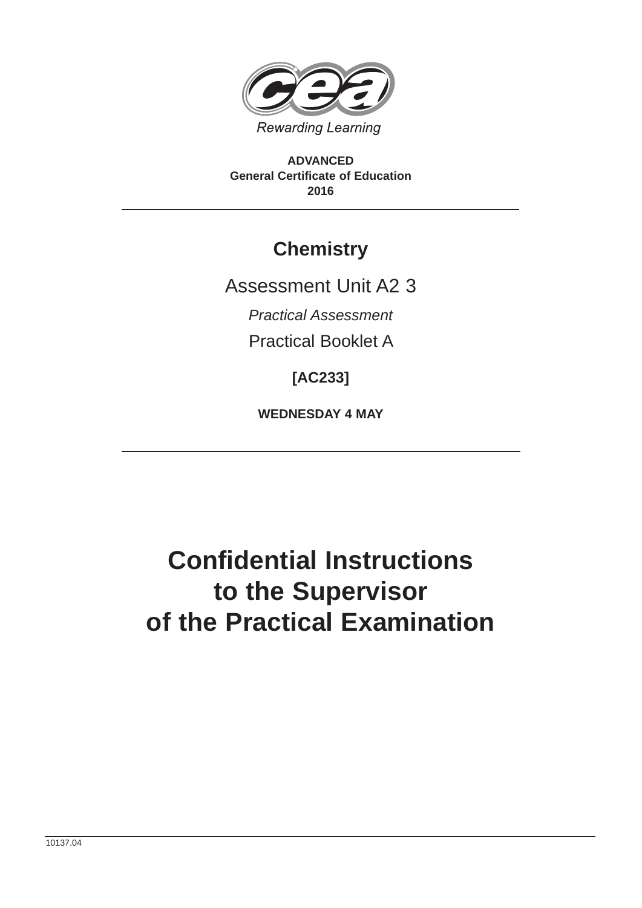

**ADVANCED General Certificate of Education 2016**

## **Chemistry**

Assessment Unit A2 3

*Practical Assessment*

Practical Booklet A

**[AC233]**

**WEDNESDAY 4 MAY**

# **Confidential Instructions to the Supervisor of the Practical Examination**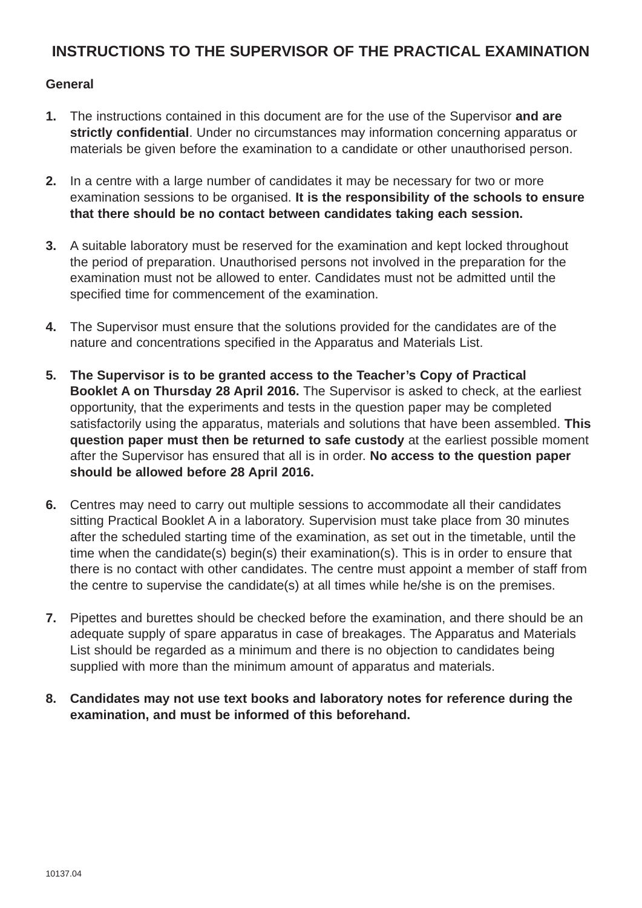### **INSTRUCTIONS TO THE SUPERVISOR OF THE PRACTICAL EXAMINATION**

#### **General**

- **1.** The instructions contained in this document are for the use of the Supervisor **and are strictly confidential**. Under no circumstances may information concerning apparatus or materials be given before the examination to a candidate or other unauthorised person.
- **2.** In a centre with a large number of candidates it may be necessary for two or more examination sessions to be organised. **It is the responsibility of the schools to ensure that there should be no contact between candidates taking each session.**
- **3.** A suitable laboratory must be reserved for the examination and kept locked throughout the period of preparation. Unauthorised persons not involved in the preparation for the examination must not be allowed to enter. Candidates must not be admitted until the specified time for commencement of the examination.
- **4.** The Supervisor must ensure that the solutions provided for the candidates are of the nature and concentrations specified in the Apparatus and Materials List.
- **5. The Supervisor is to be granted access to the Teacher's Copy of Practical Booklet A on Thursday 28 April 2016.** The Supervisor is asked to check, at the earliest opportunity, that the experiments and tests in the question paper may be completed satisfactorily using the apparatus, materials and solutions that have been assembled. **This question paper must then be returned to safe custody** at the earliest possible moment after the Supervisor has ensured that all is in order. **No access to the question paper should be allowed before 28 April 2016.**
- **6.** Centres may need to carry out multiple sessions to accommodate all their candidates sitting Practical Booklet A in a laboratory. Supervision must take place from 30 minutes after the scheduled starting time of the examination, as set out in the timetable, until the time when the candidate(s) begin(s) their examination(s). This is in order to ensure that there is no contact with other candidates. The centre must appoint a member of staff from the centre to supervise the candidate(s) at all times while he/she is on the premises.
- **7.** Pipettes and burettes should be checked before the examination, and there should be an adequate supply of spare apparatus in case of breakages. The Apparatus and Materials List should be regarded as a minimum and there is no objection to candidates being supplied with more than the minimum amount of apparatus and materials.
- **8. Candidates may not use text books and laboratory notes for reference during the examination, and must be informed of this beforehand.**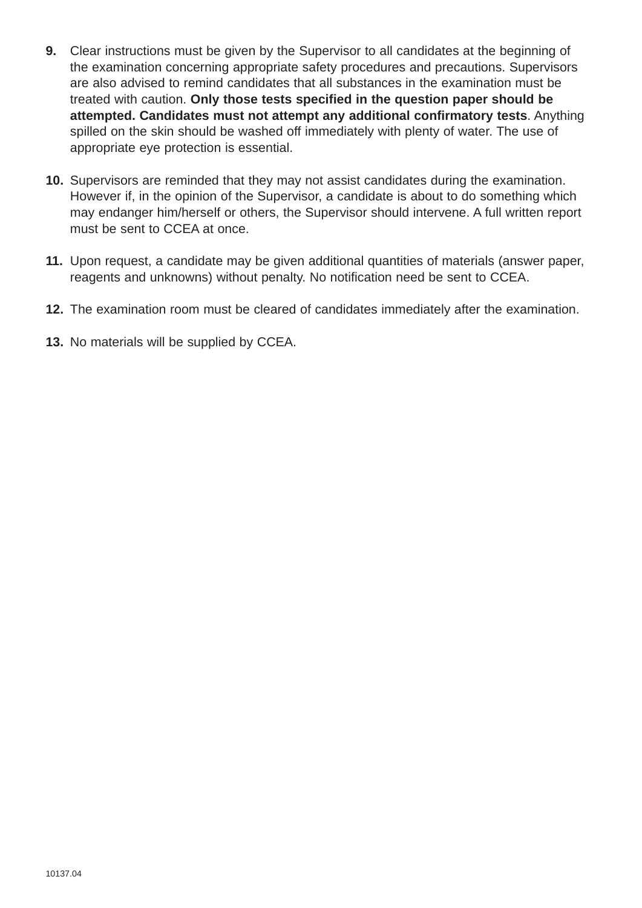- **9.** Clear instructions must be given by the Supervisor to all candidates at the beginning of the examination concerning appropriate safety procedures and precautions. Supervisors are also advised to remind candidates that all substances in the examination must be treated with caution. **Only those tests specified in the question paper should be attempted. Candidates must not attempt any additional confirmatory tests**. Anything spilled on the skin should be washed off immediately with plenty of water. The use of appropriate eye protection is essential.
- **10.** Supervisors are reminded that they may not assist candidates during the examination. However if, in the opinion of the Supervisor, a candidate is about to do something which may endanger him/herself or others, the Supervisor should intervene. A full written report must be sent to CCEA at once.
- **11.** Upon request, a candidate may be given additional quantities of materials (answer paper, reagents and unknowns) without penalty. No notification need be sent to CCEA.
- **12.** The examination room must be cleared of candidates immediately after the examination.
- **13.** No materials will be supplied by CCEA.